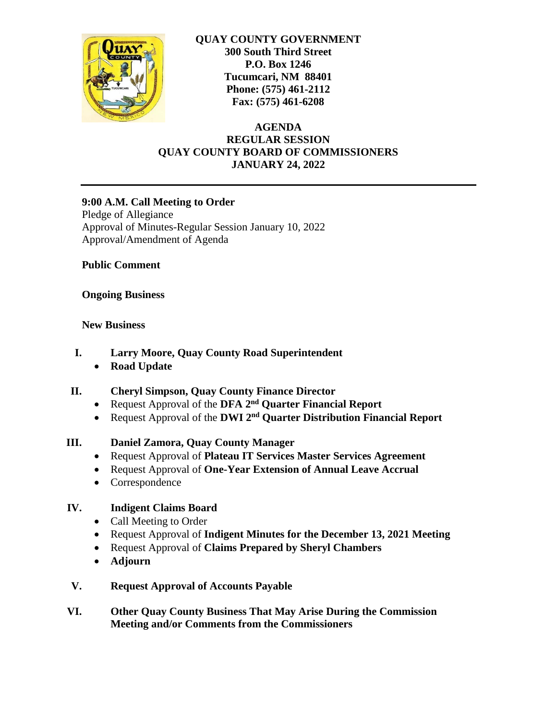

**QUAY COUNTY GOVERNMENT 300 South Third Street P.O. Box 1246 Tucumcari, NM 88401 Phone: (575) 461-2112 Fax: (575) 461-6208**

**AGENDA REGULAR SESSION QUAY COUNTY BOARD OF COMMISSIONERS JANUARY 24, 2022**

### **9:00 A.M. Call Meeting to Order**

Pledge of Allegiance Approval of Minutes-Regular Session January 10, 2022 Approval/Amendment of Agenda

**Public Comment**

## **Ongoing Business**

### **New Business**

- **I. Larry Moore, Quay County Road Superintendent**
	- **Road Update**
- **II. Cheryl Simpson, Quay County Finance Director**
	- **•** Request Approval of the DFA 2<sup>nd</sup> Quarter Financial Report
	- **•** Request Approval of the DWI 2<sup>nd</sup> Quarter Distribution Financial Report

# **III. Daniel Zamora, Quay County Manager**

- Request Approval of **Plateau IT Services Master Services Agreement**
- Request Approval of **One-Year Extension of Annual Leave Accrual**
- Correspondence

# **IV. Indigent Claims Board**

- Call Meeting to Order
- Request Approval of **Indigent Minutes for the December 13, 2021 Meeting**
- Request Approval of **Claims Prepared by Sheryl Chambers**
- **Adjourn**
- **V. Request Approval of Accounts Payable**
- **VI. Other Quay County Business That May Arise During the Commission Meeting and/or Comments from the Commissioners**